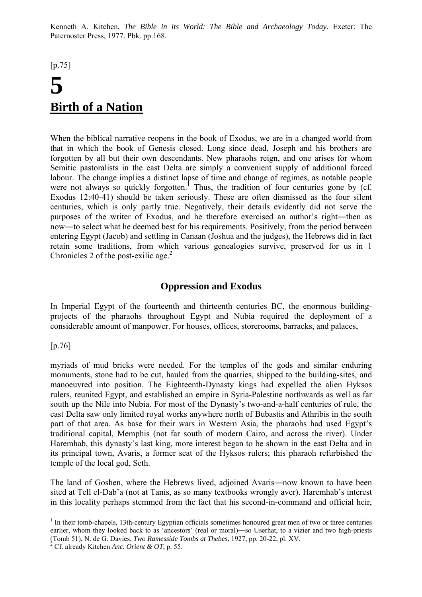# [p.75] **5 Birth of a Nation**

When the biblical narrative reopens in the book of Exodus, we are in a changed world from that in which the book of Genesis closed. Long since dead, Joseph and his brothers are forgotten by all but their own descendants. New pharaohs reign, and one arises for whom Semitic pastoralists in the east Delta are simply a convenient supply of additional forced labour. The change implies a distinct lapse of time and change of regimes, as notable people were not always so quickly forgotten.<sup>1</sup> Thus, the tradition of four centuries gone by (cf. Exodus 12:40-41) should be taken seriously. These are often dismissed as the four silent centuries, which is only partly true. Negatively, their details evidently did not serve the purposes of the writer of Exodus, and he therefore exercised an author's right—then as now―to select what he deemed best for his requirements. Positively, from the period between entering Egypt (Jacob) and settling in Canaan (Joshua and the judges), the Hebrews did in fact retain some traditions, from which various genealogies survive, preserved for us in 1 Chronicles 2 of the post-exilic age. $<sup>2</sup>$ </sup>

# **Oppression and Exodus**

In Imperial Egypt of the fourteenth and thirteenth centuries BC, the enormous buildingprojects of the pharaohs throughout Egypt and Nubia required the deployment of a considerable amount of manpower. For houses, offices, storerooms, barracks, and palaces,

[p.76]

 $\overline{a}$ 

myriads of mud bricks were needed. For the temples of the gods and similar enduring monuments, stone had to be cut, hauled from the quarries, shipped to the building-sites, and manoeuvred into position. The Eighteenth-Dynasty kings had expelled the alien Hyksos rulers, reunited Egypt, and established an empire in Syria-Palestine northwards as well as far south up the Nile into Nubia. For most of the Dynasty's two-and-a-half centuries of rule, the east Delta saw only limited royal works anywhere north of Bubastis and Athribis in the south part of that area. As base for their wars in Western Asia, the pharaohs had used Egypt's traditional capital, Memphis (not far south of modern Cairo, and across the river). Under Haremhab, this dynasty's last king, more interest began to be shown in the east Delta and in its principal town, Avaris, a former seat of the Hyksos rulers; this pharaoh refurbished the temple of the local god, Seth.

The land of Goshen, where the Hebrews lived, adjoined Avaris―now known to have been sited at Tell el-Dab'a (not at Tanis, as so many textbooks wrongly aver). Haremhab's interest in this locality perhaps stemmed from the fact that his second-in-command and official heir,

<sup>&</sup>lt;sup>1</sup> In their tomb-chapels, 13th-century Egyptian officials sometimes honoured great men of two or three centuries earlier, whom they looked back to as 'ancestors' (real or moral)―so Userhat, to a vizier and two high-priests (Tomb 51), N. de G. Davies, *Two Ramesside Tombs at Thebes*, 1927, pp. 20-22, pl. XV. <sup>2</sup> Cf. already Kitchen *Anc. Orient & OT*, p. 55.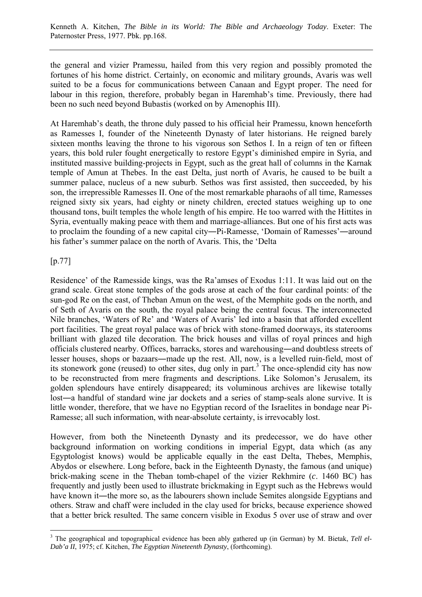the general and vizier Pramessu, hailed from this very region and possibly promoted the fortunes of his home district. Certainly, on economic and military grounds, Avaris was well suited to be a focus for communications between Canaan and Egypt proper. The need for labour in this region, therefore, probably began in Haremhab's time. Previously, there had been no such need beyond Bubastis (worked on by Amenophis III).

At Haremhab's death, the throne duly passed to his official heir Pramessu, known henceforth as Ramesses I, founder of the Nineteenth Dynasty of later historians. He reigned barely sixteen months leaving the throne to his vigorous son Sethos I. In a reign of ten or fifteen years, this bold ruler fought energetically to restore Egypt's diminished empire in Syria, and instituted massive building-projects in Egypt, such as the great hall of columns in the Karnak temple of Amun at Thebes. In the east Delta, just north of Avaris, he caused to be built a summer palace, nucleus of a new suburb. Sethos was first assisted, then succeeded, by his son, the irrepressible Ramesses II. One of the most remarkable pharaohs of all time, Ramesses reigned sixty six years, had eighty or ninety children, erected statues weighing up to one thousand tons, built temples the whole length of his empire. He too warred with the Hittites in Syria, eventually making peace with them and marriage-alliances. But one of his first acts was to proclaim the founding of a new capital city―Pi-Ramesse, 'Domain of Ramesses'―around his father's summer palace on the north of Avaris. This, the 'Delta

[p.77]

 $\overline{a}$ 

Residence' of the Ramesside kings, was the Ra'amses of Exodus 1:11. It was laid out on the grand scale. Great stone temples of the gods arose at each of the four cardinal points: of the sun-god Re on the east, of Theban Amun on the west, of the Memphite gods on the north, and of Seth of Avaris on the south, the royal palace being the central focus. The interconnected Nile branches, 'Waters of Re' and 'Waters of Avaris' led into a basin that afforded excellent port facilities. The great royal palace was of brick with stone-framed doorways, its staterooms brilliant with glazed tile decoration. The brick houses and villas of royal princes and high officials clustered nearby. Offices, barracks, stores and warehousing―and doubtless streets of lesser houses, shops or bazaars―made up the rest. All, now, is a levelled ruin-field, most of its stonework gone (reused) to other sites, dug only in part.<sup>3</sup> The once-splendid city has now to be reconstructed from mere fragments and descriptions. Like Solomon's Jerusalem, its golden splendours have entirely disappeared; its voluminous archives are likewise totally lost―a handful of standard wine jar dockets and a series of stamp-seals alone survive. It is little wonder, therefore, that we have no Egyptian record of the Israelites in bondage near Pi-Ramesse; all such information, with near-absolute certainty, is irrevocably lost.

However, from both the Nineteenth Dynasty and its predecessor, we do have other background information on working conditions in imperial Egypt, data which (as any Egyptologist knows) would be applicable equally in the east Delta, Thebes, Memphis, Abydos or elsewhere. Long before, back in the Eighteenth Dynasty, the famous (and unique) brick-making scene in the Theban tomb-chapel of the vizier Rekhmire (*c*. 1460 BC) has frequently and justly been used to illustrate brickmaking in Egypt such as the Hebrews would have known it—the more so, as the labourers shown include Semites alongside Egyptians and others. Straw and chaff were included in the clay used for bricks, because experience showed that a better brick resulted. The same concern visible in Exodus 5 over use of straw and over

<sup>&</sup>lt;sup>3</sup> The geographical and topographical evidence has been ably gathered up (in German) by M. Bietak, *Tell el-Dab'a II*, 1975; cf. Kitchen, *The Egyptian Nineteenth Dynasty*, (forthcoming).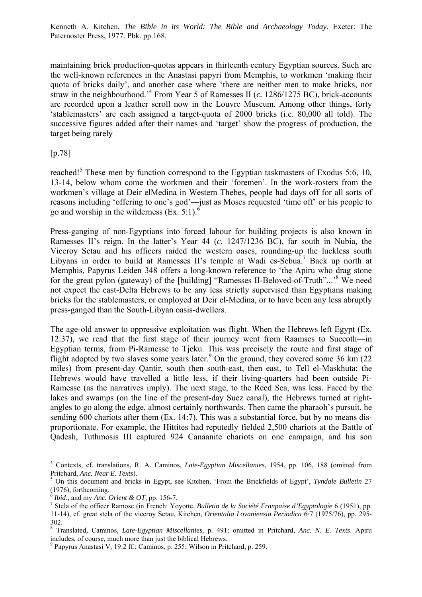maintaining brick production-quotas appears in thirteenth century Egyptian sources. Such are the well-known references in the Anastasi papyri from Memphis, to workmen 'making their quota of bricks daily', and another case where 'there are neither men to make bricks, nor straw in the neighbourhood.'<sup>4</sup> From Year 5 of Ramesses II (*c.* 1286/1275 BC), brick-accounts are recorded upon a leather scroll now in the Louvre Museum. Among other things, forty 'stablemasters' are each assigned a target-quota of 2000 bricks (i.e. 80,000 all told). The successive figures added after their names and 'target' show the progress of production, the target being rarely

[p.78]

 $\overline{a}$ 

reached!<sup>5</sup> These men by function correspond to the Egyptian taskmasters of Exodus 5:6, 10, 13-14, below whom come the workmen and their 'foremen'. In the work-rosters from the workmen's village at Deir elMedina in Western Thebes, people had days off for all sorts of reasons including 'offering to one's god'―just as Moses requested 'time off' or his people to go and worship in the wilderness  $(Ex. 5:1).<sup>6</sup>$ 

Press-ganging of non-Egyptians into forced labour for building projects is also known in Ramesses II's reign. In the latter's Year 44 (*c*. 1247/1236 BC), far south in Nubia, the Viceroy Setau and his officers raided the western oases, rounding-up the luckless south Libyans in order to build at Ramesses II's temple at Wadi es-Sebua.<sup>7</sup> Back up north at Memphis, Papyrus Leiden 348 offers a long-known reference to 'the Apiru who drag stone for the great pylon (gateway) of the [building] "Ramesses II-Beloved-of-Truth"...'<sup>8</sup> We need not expect the east-Delta Hebrews to be any less strictly supervised than Egyptians making bricks for the stablemasters, or employed at Deir el-Medina, or to have been any less abruptly press-ganged than the South-Libyan oasis-dwellers.

The age-old answer to oppressive exploitation was flight. When the Hebrews left Egypt (Ex. 12:37), we read that the first stage of their journey went from Raamses to Succoth―in Egyptian terms, from Pi-Ramesse to Tjeku. This was precisely the route and first stage of flight adopted by two slaves some years later.<sup>9</sup> On the ground, they covered some 36 km  $(22)$ miles) from present-day Qantir, south then south-east, then east, to Tell el-Maskhuta; the Hebrews would have travelled a little less, if their living-quarters had been outside Pi-Ramesse (as the narratives imply). The next stage, to the Reed Sea, was less. Faced by the lakes and swamps (on the line of the present-day Suez canal), the Hebrews turned at rightangles to go along the edge, almost certainly northwards. Then came the pharaoh's pursuit, he sending 600 chariots after them (Ex. 14:7). This was a substantial force, but by no means disproportionate. For example, the Hittites had reputedly fielded 2,500 chariots at the Battle of Qadesh, Tuthmosis III captured 924 Canaanite chariots on one campaign, and his son

<sup>4</sup> Contexts, cf. translations, R. A. Caminos, *Late-Egyptian Miscellanies*, 1954, pp. 106, 188 (omitted from Pritchard, *Anc. Near E. Texts*).<br><sup>5</sup> On this document and brick

On this document and bricks in Egypt, see Kitchen, 'From the Brickfields of Egypt', *Tyndale Bulletin* 27 (1976), forthcoming.

<sup>6</sup> *Ibid*., and my *Anc. Orient & OT*, pp. 156-7. 7

Stela of the officer Ramose (in French: Yoyotte, *Bulletin de la Société Franpaise d'Egyptologie* 6 (1951), pp. 11-14), cf. great stela of the viceroy Setau, Kitchen, *Orientalia Lovaniensia Periodica* 6/7 (1975/76), pp. 295- 302.

<sup>8</sup> Translated, Caminos, *Late-Egyptian Miscellanies*, p. 491; omitted in Pritchard, *Anc. N. E. Texts*. Apiru includes, of course, much more than just the biblical Hebrews.

<sup>9</sup> Papyrus Anastasi V, 19:2 ff.; Caminos, p. 255; Wilson in Pritchard, p. 259.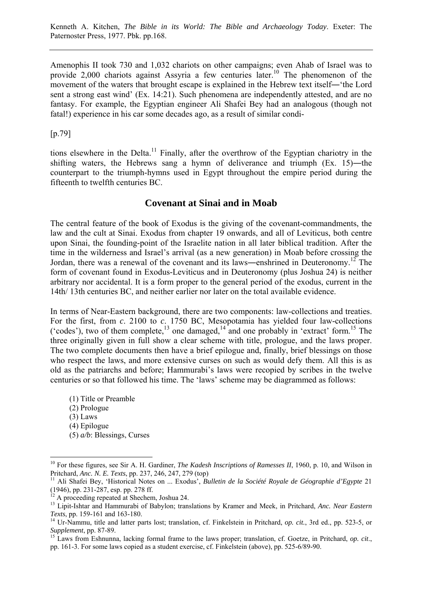Amenophis II took 730 and 1,032 chariots on other campaigns; even Ahab of Israel was to provide 2,000 chariots against Assyria a few centuries later.<sup>10</sup> The phenomenon of the movement of the waters that brought escape is explained in the Hebrew text itself―'the Lord sent a strong east wind' (Ex. 14:21). Such phenomena are independently attested, and are no fantasy. For example, the Egyptian engineer Ali Shafei Bey had an analogous (though not fatal!) experience in his car some decades ago, as a result of similar condi-

[p.79]

tions elsewhere in the Delta.<sup>11</sup> Finally, after the overthrow of the Egyptian chariotry in the shifting waters, the Hebrews sang a hymn of deliverance and triumph (Ex. 15)―the counterpart to the triumph-hymns used in Egypt throughout the empire period during the fifteenth to twelfth centuries BC.

# **Covenant at Sinai and in Moab**

The central feature of the book of Exodus is the giving of the covenant-commandments, the law and the cult at Sinai. Exodus from chapter 19 onwards, and all of Leviticus, both centre upon Sinai, the founding-point of the Israelite nation in all later biblical tradition. After the time in the wilderness and Israel's arrival (as a new generation) in Moab before crossing the Jordan, there was a renewal of the covenant and its laws—enshrined in Deuteronomy.<sup>12</sup> The form of covenant found in Exodus-Leviticus and in Deuteronomy (plus Joshua 24) is neither arbitrary nor accidental. It is a form proper to the general period of the exodus, current in the 14th/ 13th centuries BC, and neither earlier nor later on the total available evidence.

In terms of Near-Eastern background, there are two components: law-collections and treaties. For the first, from *c*. 2100 to *c*. 1750 BC, Mesopotamia has yielded four law-collections ('codes'), two of them complete, $^{13}$  one damaged, $^{14}$  and one probably in 'extract' form.<sup>15</sup> The three originally given in full show a clear scheme with title, prologue, and the laws proper. The two complete documents then have a brief epilogue and, finally, brief blessings on those who respect the laws, and more extensive curses on such as would defy them. All this is as old as the patriarchs and before; Hammurabi's laws were recopied by scribes in the twelve centuries or so that followed his time. The 'laws' scheme may be diagrammed as follows:

(1) Title or Preamble (2) Prologue (3) Laws (4) Epilogue (5) *a/b*: Blessings, Curses

<sup>&</sup>lt;sup>10</sup> For these figures, see Sir A. H. Gardiner, *The Kadesh Inscriptions of Ramesses II*, 1960, p. 10, and Wilson in Pritchard, *Anc. N. E. Texts*, pp. 237, 246, 247, 279 (top)<br><sup>11</sup> Ali Shafei Bey, *'Historical Notes on ... Exodus', Bulletin de la Société Royale de Géographie d'Egypte 21* 

<sup>(1946),</sup> pp. 231-287, esp. pp. 278 ff.

<sup>&</sup>lt;sup>12</sup> A proceeding repeated at Shechem, Joshua 24.

<sup>&</sup>lt;sup>13</sup> Lipit-Ishtar and Hammurabi of Babylon; translations by Kramer and Meek, in Pritchard, *Anc. Near Eastern Texts*, pp. 159-161 and 163-180.

<sup>&</sup>lt;sup>14</sup> Ur-Nammu, title and latter parts lost; translation, cf. Finkelstein in Pritchard, *op. cit.*, 3rd ed., pp. 523-5, or *Supplement*, pp. 87-89.

<sup>&</sup>lt;sup>15</sup> Laws from Eshnunna, lacking formal frame to the laws proper; translation, cf. Goetze, in Pritchard, *op. cit.*, pp. 161-3. For some laws copied as a student exercise, cf. Finkelstein (above), pp. 525-6/89-90.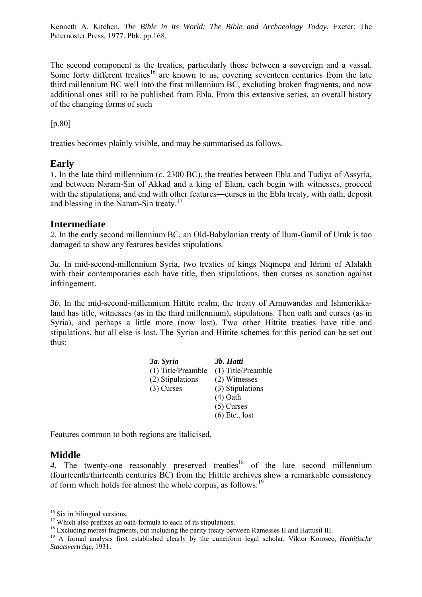The second component is the treaties, particularly those between a sovereign and a vassal. Some forty different treaties<sup>16</sup> are known to us, covering seventeen centuries from the late third millennium BC well into the first millennium BC, excluding broken fragments, and now additional ones still to be published from Ebla. From this extensive series, an overall history of the changing forms of such

[p.80]

treaties becomes plainly visible, and may be summarised as follows.

## **Early**

*1*. In the late third millennium (*c*. 2300 BC), the treaties between Ebla and Tudiya of Assyria, and between Naram-Sin of Akkad and a king of Elam, each begin with witnesses, proceed with the stipulations, and end with other features—curses in the Ebla treaty, with oath, deposit and blessing in the Naram-Sin treaty.<sup>17</sup>

## **Intermediate**

*2*. In the early second millennium BC, an Old-Babylonian treaty of Ilum-Gamil of Uruk is too damaged to show any features besides stipulations.

*3a*. In mid-second-millennium Syria, two treaties of kings Niqmepa and Idrimi of Alalakh with their contemporaries each have title, then stipulations, then curses as sanction against infringement.

*3b*. In the mid-second-millennium Hittite realm, the treaty of Arnuwandas and Ishmerikkaland has title, witnesses (as in the third millennium), stipulations. Then oath and curses (as in Syria), and perhaps a little more (now lost). Two other Hittite treaties have title and stipulations, but all else is lost. The Syrian and Hittite schemes for this period can be set out thus:

| 3a. Syria          | 3b. Hatti            |
|--------------------|----------------------|
| (1) Title/Preamble | $(1)$ Title/Preamble |
| (2) Stipulations   | (2) Witnesses        |
| $(3)$ Curses       | (3) Stipulations     |
|                    | $(4)$ Oath           |
|                    | $(5)$ Curses         |
|                    | $(6)$ Etc., lost     |

Features common to both regions are italicised.

## **Middle**

 $\overline{a}$ 

4. The twenty-one reasonably preserved treaties<sup>18</sup> of the late second millennium (fourteenth/thirteenth centuries BC) from the Hittite archives show a remarkable consistency of form which holds for almost the whole corpus, as follows:<sup>19</sup>

<sup>&</sup>lt;sup>16</sup> Six in bilingual versions.

<sup>&</sup>lt;sup>17</sup> Which also prefixes an oath-formula to each of its stipulations.<br><sup>18</sup> Excluding merest fragments, but including the parity treaty between Ramesses II and Hattusil III.

<sup>&</sup>lt;sup>19</sup> A formal analysis first established clearly by the cuneiform legal scholar, Viktor Korosec, *Hethitische Staatsverträge*, 1931.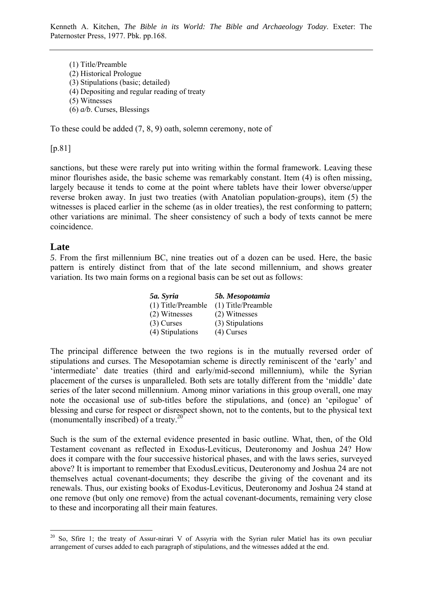- (1) Title/Preamble
- (2) Historical Prologue
- (3) Stipulations (basic; detailed)
- (4) Depositing and regular reading of treaty
- (5) Witnesses
- (6) *a/b*. Curses, Blessings

To these could be added (7, 8, 9) oath, solemn ceremony, note of

[p.81]

sanctions, but these were rarely put into writing within the formal framework. Leaving these minor flourishes aside, the basic scheme was remarkably constant. Item (4) is often missing, largely because it tends to come at the point where tablets have their lower obverse/upper reverse broken away. In just two treaties (with Anatolian population-groups), item (5) the witnesses is placed earlier in the scheme (as in older treaties), the rest conforming to pattern; other variations are minimal. The sheer consistency of such a body of texts cannot be mere coincidence.

#### **Late**

 $\overline{a}$ 

*5*. From the first millennium BC, nine treaties out of a dozen can be used. Here, the basic pattern is entirely distinct from that of the late second millennium, and shows greater variation. Its two main forms on a regional basis can be set out as follows:

| 5a. Syria          | 5b. Mesopotamia      |
|--------------------|----------------------|
| (1) Title/Preamble | $(1)$ Title/Preamble |
| (2) Witnesses      | (2) Witnesses        |
| $(3)$ Curses       | (3) Stipulations     |
| (4) Stipulations   | $(4)$ Curses         |

The principal difference between the two regions is in the mutually reversed order of stipulations and curses. The Mesopotamian scheme is directly reminiscent of the 'early' and 'intermediate' date treaties (third and early/mid-second millennium), while the Syrian placement of the curses is unparalleled. Both sets are totally different from the 'middle' date series of the later second millennium. Among minor variations in this group overall, one may note the occasional use of sub-titles before the stipulations, and (once) an 'epilogue' of blessing and curse for respect or disrespect shown, not to the contents, but to the physical text (monumentally inscribed) of a treaty.20

Such is the sum of the external evidence presented in basic outline. What, then, of the Old Testament covenant as reflected in Exodus-Leviticus, Deuteronomy and Joshua 24? How does it compare with the four successive historical phases, and with the laws series, surveyed above? It is important to remember that ExodusLeviticus, Deuteronomy and Joshua 24 are not themselves actual covenant-documents; they describe the giving of the covenant and its renewals. Thus, our existing books of Exodus-Leviticus, Deuteronomy and Joshua 24 stand at one remove (but only one remove) from the actual covenant-documents, remaining very close to these and incorporating all their main features.

 $20$  So, Sfire 1; the treaty of Assur-nirari V of Assyria with the Syrian ruler Matiel has its own peculiar arrangement of curses added to each paragraph of stipulations, and the witnesses added at the end.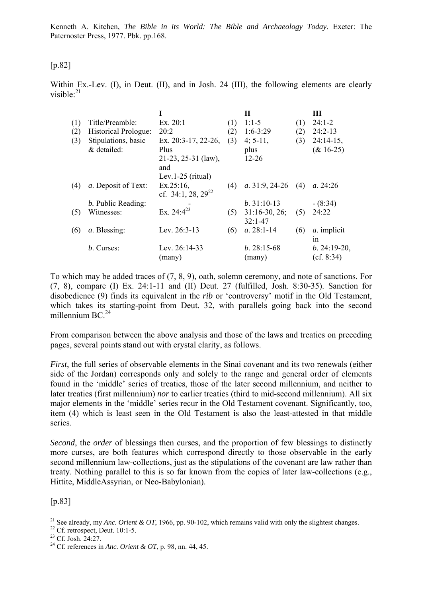#### [p.82]

Within Ex.-Lev. (I), in Deut. (II), and in Josh. 24 (III), the following elements are clearly visible: $^{21}$ 

|     |                             | I                                    |     | п                              |     | Ш                            |
|-----|-----------------------------|--------------------------------------|-----|--------------------------------|-----|------------------------------|
| (1) | Title/Preamble:             | Ex. 20:1                             | (1) | $1:1-5$                        | (1) | $24:1-2$                     |
| (2) | Historical Prologue:        | 20:2                                 | (2) | $1:6-3:29$                     | (2) | $24:2 - 13$                  |
| (3) | Stipulations, basic         | Ex. $20:3-17$ , $22-26$ ,            | (3) | $4; 5-11,$                     | (3) | $24:14-15$ ,                 |
|     | & detailed:                 | Plus                                 |     | plus                           |     | $& 16-25)$                   |
|     |                             | $21-23$ , $25-31$ (law),<br>and      |     | $12 - 26$                      |     |                              |
|     |                             | Lev. $1-25$ (ritual)                 |     |                                |     |                              |
| (4) | <i>a</i> . Deposit of Text: | Ex.25:16,<br>cf. 34:1, 28, $29^{22}$ | (4) | $a. 31:9, 24-26$               | (4) | a. 24:26                     |
|     | <i>b</i> . Public Reading:  |                                      |     | $b. 31:10-13$                  |     | $-(8:34)$                    |
| (5) | Witnesses:                  | Ex. $24:4^{23}$                      | (5) | $31:16-30, 26;$<br>$32:1 - 47$ | (5) | 24:22                        |
| (6) | $a$ . Blessing:             | Lev. $26:3-13$                       | (6) | $a. 28:1-14$                   | (6) | $a$ . implicit               |
|     |                             |                                      |     |                                |     | 1n                           |
|     | b. Curses:                  | Lev. $26:14-33$<br>(many)            |     | $b. 28:15-68$<br>(many)        |     | $b. 24:19-20,$<br>(cf. 8:34) |

To which may be added traces of (7, 8, 9), oath, solemn ceremony, and note of sanctions. For (7, 8), compare (I) Ex. 24:1-11 and (II) Deut. 27 (fulfilled, Josh. 8:30-35). Sanction for disobedience (9) finds its equivalent in the *rib* or 'controversy' motif in the Old Testament, which takes its starting-point from Deut. 32, with parallels going back into the second millennium  $BC<sup>24</sup>$ 

From comparison between the above analysis and those of the laws and treaties on preceding pages, several points stand out with crystal clarity, as follows.

*First*, the full series of observable elements in the Sinai covenant and its two renewals (either side of the Jordan) corresponds only and solely to the range and general order of elements found in the 'middle' series of treaties, those of the later second millennium, and neither to later treaties (first millennium) *nor* to earlier treaties (third to mid-second millennium). All six major elements in the 'middle' series recur in the Old Testament covenant. Significantly, too, item (4) which is least seen in the Old Testament is also the least-attested in that middle series.

*Second*, the *order* of blessings then curses, and the proportion of few blessings to distinctly more curses, are both features which correspond directly to those observable in the early second millennium law-collections, just as the stipulations of the covenant are law rather than treaty. Nothing parallel to this is so far known from the copies of later law-collections (e.g., Hittite, MiddleAssyrian, or Neo-Babylonian).

[p.83]

<sup>&</sup>lt;sup>21</sup> See already, my *Anc. Orient & OT*, 1966, pp. 90-102, which remains valid with only the slightest changes. <sup>22</sup> Cf. retrospect, Deut. 10:1-5.

<sup>23</sup> Cf. Josh. 24:27.

<sup>24</sup> Cf. references in *Anc. Orient & OT*, p. 98, nn. 44, 45.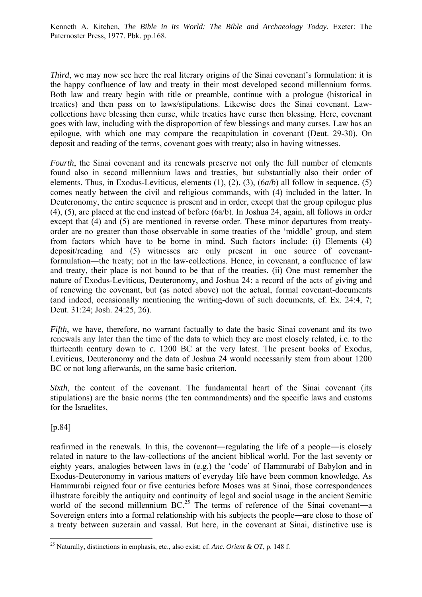*Third*, we may now see here the real literary origins of the Sinai covenant's formulation: it is the happy confluence of law and treaty in their most developed second millennium forms. Both law and treaty begin with title or preamble, continue with a prologue (historical in treaties) and then pass on to laws/stipulations. Likewise does the Sinai covenant. Lawcollections have blessing then curse, while treaties have curse then blessing. Here, covenant goes with law, including with the disproportion of few blessings and many curses. Law has an epilogue, with which one may compare the recapitulation in covenant (Deut. 29-30). On deposit and reading of the terms, covenant goes with treaty; also in having witnesses.

*Fourth*, the Sinai covenant and its renewals preserve not only the full number of elements found also in second millennium laws and treaties, but substantially also their order of elements. Thus, in Exodus-Leviticus, elements (1), (2), (3), (6*a/b*) all follow in sequence. (5) comes neatly between the civil and religious commands, with (4) included in the latter. In Deuteronomy, the entire sequence is present and in order, except that the group epilogue plus (4), (5), are placed at the end instead of before (6a/b). In Joshua 24, again, all follows in order except that (4) and (5) are mentioned in reverse order. These minor departures from treatyorder are no greater than those observable in some treaties of the 'middle' group, and stem from factors which have to be borne in mind. Such factors include: (i) Elements (4) deposit/reading and (5) witnesses are only present in one source of covenantformulation—the treaty; not in the law-collections. Hence, in covenant, a confluence of law and treaty, their place is not bound to be that of the treaties. (ii) One must remember the nature of Exodus-Leviticus, Deuteronomy, and Joshua 24: a record of the acts of giving and of renewing the covenant, but (as noted above) not the actual, formal covenant-documents (and indeed, occasionally mentioning the writing-down of such documents, cf. Ex. 24:4, 7; Deut. 31:24; Josh. 24:25, 26).

*Fifth*, we have, therefore, no warrant factually to date the basic Sinai covenant and its two renewals any later than the time of the data to which they are most closely related, i.e. to the thirteenth century down to *c.* 1200 BC at the very latest. The present books of Exodus, Leviticus, Deuteronomy and the data of Joshua 24 would necessarily stem from about 1200 BC or not long afterwards, on the same basic criterion.

*Sixth*, the content of the covenant. The fundamental heart of the Sinai covenant (its stipulations) are the basic norms (the ten commandments) and the specific laws and customs for the Israelites,

[p.84]

 $\overline{a}$ 

reafirmed in the renewals. In this, the covenant―regulating the life of a people―is closely related in nature to the law-collections of the ancient biblical world. For the last seventy or eighty years, analogies between laws in (e.g.) the 'code' of Hammurabi of Babylon and in Exodus-Deuteronomy in various matters of everyday life have been common knowledge. As Hammurabi reigned four or five centuries before Moses was at Sinai, those correspondences illustrate forcibly the antiquity and continuity of legal and social usage in the ancient Semitic world of the second millennium BC.<sup>25</sup> The terms of reference of the Sinai covenant—a Sovereign enters into a formal relationship with his subjects the people―are close to those of a treaty between suzerain and vassal. But here, in the covenant at Sinai, distinctive use is

<sup>25</sup> Naturally, distinctions in emphasis, etc., also exist; cf. *Anc. Orient & OT*, p. 148 f.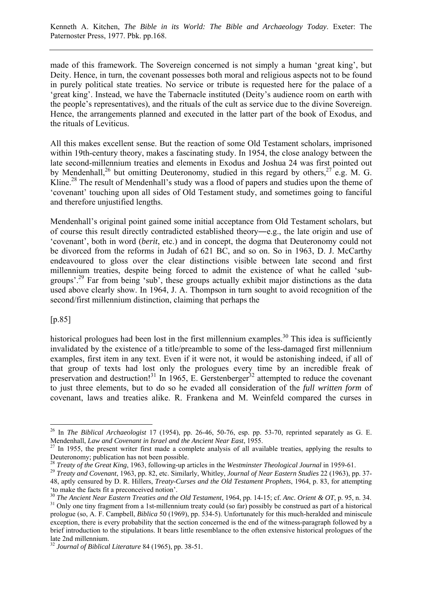made of this framework. The Sovereign concerned is not simply a human 'great king', but Deity. Hence, in turn, the covenant possesses both moral and religious aspects not to be found in purely political state treaties. No service or tribute is requested here for the palace of a 'great king'. Instead, we have the Tabernacle instituted (Deity's audience room on earth with the people's representatives), and the rituals of the cult as service due to the divine Sovereign. Hence, the arrangements planned and executed in the latter part of the book of Exodus, and the rituals of Leviticus.

All this makes excellent sense. But the reaction of some Old Testament scholars, imprisoned within 19th-century theory, makes a fascinating study. In 1954, the close analogy between the late second-millennium treaties and elements in Exodus and Joshua 24 was first pointed out by Mendenhall,<sup>26</sup> but omitting Deuteronomy, studied in this regard by others,<sup>27</sup> e.g. M. G. Kline.<sup>28</sup> The result of Mendenhall's study was a flood of papers and studies upon the theme of 'covenant' touching upon all sides of Old Testament study, and sometimes going to fanciful and therefore unjustified lengths.

Mendenhall's original point gained some initial acceptance from Old Testament scholars, but of course this result directly contradicted established theory―e.g., the late origin and use of 'covenant', both in word (*berit*, etc.) and in concept, the dogma that Deuteronomy could not be divorced from the reforms in Judah of 621 BC, and so on. So in 1963, D. J. McCarthy endeavoured to gloss over the clear distinctions visible between late second and first millennium treaties, despite being forced to admit the existence of what he called 'subgroups<sup>'.29</sup> Far from being 'sub', these groups actually exhibit major distinctions as the data used above clearly show. In 1964, J. A. Thompson in turn sought to avoid recognition of the second/first millennium distinction, claiming that perhaps the

#### [p.85]

 $\overline{a}$ 

historical prologues had been lost in the first millennium examples.<sup>30</sup> This idea is sufficiently invalidated by the existence of a title/preamble to some of the less-damaged first millennium examples, first item in any text. Even if it were not, it would be astonishing indeed, if all of that group of texts had lost only the prologues every time by an incredible freak of preservation and destruction!<sup>31</sup> In 1965, E. Gerstenberger<sup>32</sup> attempted to reduce the covenant to just three elements, but to do so he evaded all consideration of the *full written form* of covenant, laws and treaties alike. R. Frankena and M. Weinfeld compared the curses in

<sup>26</sup> In *The Biblical Archaeologist* 17 (1954), pp. 26-46, 50-76, esp. pp. 53-70, reprinted separately as G. E. Mendenhall, *Law and Covenant in Israel and the Ancient Near East*, 1955.<br><sup>27</sup> In 1955, the present writer first made a complete analysis of all available treaties, applying the results to

Deuteronomy; publication has not been possible.<br><sup>28</sup> *Treaty of the Great King*, 1963, following-up articles in the *Westminster Theological Journal* in 1959-61.

<sup>&</sup>lt;sup>29</sup> Treaty and Covenant, 1963, pp. 82, etc. Similarly, Whitley, Journal of Near Eastern Studies 22 (1963), pp. 37-48, aptly censured by D. R. Hillers, *Treaty-Curses and the Old Testament Prophets*, 1964, p. 83, for attempting 'to make the facts fit a preconceived notion'.<br><sup>30</sup> The Ancient Near Eastern Treaties and the Old Testament, 1964, pp. 14-15; cf. Anc. Orient & OT, p. 95, n. 34.

 $31$  Only one tiny fragment from a 1st-millennium treaty could (so far) possibly be construed as part of a historical prologue (so, A. F. Campbell, *Biblica* 50 (1969), pp. 534-5). Unfortunately for this much-heralded and miniscule exception, there is every probability that the section concerned is the end of the witness-paragraph followed by a brief introduction to the stipulations. It bears little resemblance to the often extensive historical prologues of the late 2nd millennium.

<sup>32</sup> *Journal of Biblical Literature* 84 (1965), pp. 38-51.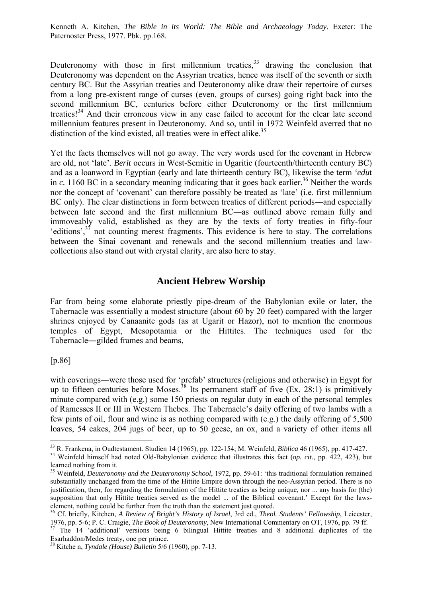Deuteronomy with those in first millennium treaties,<sup>33</sup> drawing the conclusion that Deuteronomy was dependent on the Assyrian treaties, hence was itself of the seventh or sixth century BC. But the Assyrian treaties and Deuteronomy alike draw their repertoire of curses from a long pre-existent range of curses (even, groups of curses) going right back into the second millennium BC, centuries before either Deuteronomy or the first millennium treaties!<sup>34</sup> And their erroneous view in any case failed to account for the clear late second millennium features present in Deuteronomy. And so, until in 1972 Weinfeld averred that no distinction of the kind existed, all treaties were in effect alike.<sup>35</sup>

Yet the facts themselves will not go away. The very words used for the covenant in Hebrew are old, not 'late'. *Berit* occurs in West-Semitic in Ugaritic (fourteenth/thirteenth century BC) and as a loanword in Egyptian (early and late thirteenth century BC), likewise the term *'edu*t in c. 1160 BC in a secondary meaning indicating that it goes back earlier.<sup>36</sup> Neither the words nor the concept of 'covenant' can therefore possibly be treated as 'late' (i.e. first millennium BC only). The clear distinctions in form between treaties of different periods—and especially between late second and the first millennium BC―as outlined above remain fully and immoveably valid, established as they are by the texts of forty treaties in fifty-four 'editions', $3^7$  not counting merest fragments. This evidence is here to stay. The correlations between the Sinai covenant and renewals and the second millennium treaties and lawcollections also stand out with crystal clarity, are also here to stay.

## **Ancient Hebrew Worship**

Far from being some elaborate priestly pipe-dream of the Babylonian exile or later, the Tabernacle was essentially a modest structure (about 60 by 20 feet) compared with the larger shrines enjoyed by Canaanite gods (as at Ugarit or Hazor), not to mention the enormous temples of Egypt, Mesopotamia or the Hittites. The techniques used for the Tabernacle―gilded frames and beams,

[p.86]

with coverings―were those used for 'prefab' structures (religious and otherwise) in Egypt for up to fifteen centuries before Moses.<sup>38</sup> Its permanent staff of five  $(Ex. 28:1)$  is primitively minute compared with (e.g.) some 150 priests on regular duty in each of the personal temples of Ramesses II or III in Western Thebes. The Tabernacle's daily offering of two lambs with a few pints of oil, flour and wine is as nothing compared with (e.g.) the daily offering of 5,500 loaves, 54 cakes, 204 jugs of beer, up to 50 geese, an ox, and a variety of other items all

 $\overline{a}$ 

<sup>&</sup>lt;sup>33</sup> R. Frankena, in Oudtestament. Studien 14 (1965), pp. 122-154; M. Weinfeld, *Biblica* 46 (1965), pp. 417-427.<br><sup>34</sup> Weinfeld himself had noted Old-Babylonian evidence that illustrates this fact (*op. cit.*, pp. 422, 42 learned nothing from it.

<sup>35</sup> Weinfeld, *Deuteronomy and the Deuteronomy School*, 1972, pp. 59-61: 'this traditional formulation remained substantially unchanged from the time of the Hittite Empire down through the neo-Assyrian period. There is no justification, then, for regarding the formulation of the Hittite treaties as being unique, nor ... any basis for (the) supposition that only Hittite treaties served as the model ... of the Biblical covenant.' Except for the laws-

element, nothing could be further from the truth than the statement just quoted.<br><sup>36</sup> Cf. briefly, Kitchen, *A Review of Bright's History of Israel*, 3rd ed., *Theol. Students' Fellowship*, Leicester, 1976, pp. 5-6; P. C.

<sup>&</sup>lt;sup>37</sup> The 14 'additional' versions being 6 bilingual Hittite treaties and 8 additional duplicates of the Esarhaddon/Medes treaty, one per prince.

<sup>38</sup> Kitche n, *Tyndale (House) Bulletin* 5/6 (1960), pp. 7-13.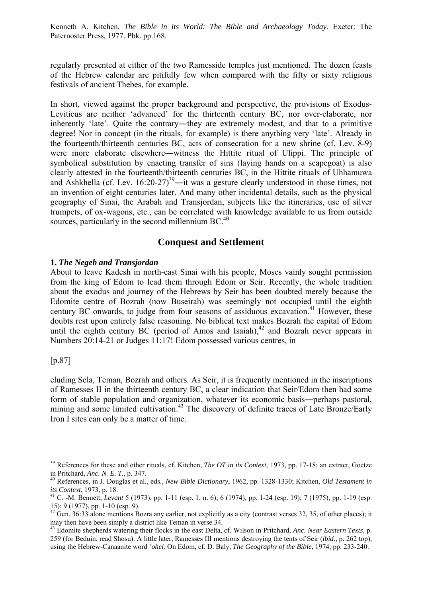regularly presented at either of the two Ramesside temples just mentioned. The dozen feasts of the Hebrew calendar are pitifully few when compared with the fifty or sixty religious festivals of ancient Thebes, for example.

In short, viewed against the proper background and perspective, the provisions of Exodus-Leviticus are neither 'advanced' for the thirteenth century BC, nor over-elaborate, nor inherently 'late'. Quite the contrary—they are extremely modest, and that to a primitive degree! Nor in concept (in the rituals, for example) is there anything very 'late'. Already in the fourteenth/thirteenth centuries BC, acts of consecration for a new shrine (cf. Lev. 8-9) were more elaborate elsewhere—witness the Hittite ritual of Ulippi. The principle of symbolical substitution by enacting transfer of sins (laying hands on a scapegoat) is also clearly attested in the fourteenth/thirteenth centuries BC, in the Hittite rituals of Uhhamuwa and Ashkhella (cf. Lev. 16:20-27)<sup>39</sup>—it was a gesture clearly understood in those times, not an invention of eight centuries later. And many other incidental details, such as the physical geography of Sinai, the Arabah and Transjordan, subjects like the itineraries, use of silver trumpets, of ox-wagons, etc., can be correlated with knowledge available to us from outside sources, particularly in the second millennium  $BC<sub>1</sub><sup>40</sup>$ .

## **Conquest and Settlement**

#### **1.** *The Negeb and Transjordan*

About to leave Kadesh in north-east Sinai with his people, Moses vainly sought permission from the king of Edom to lead them through Edom or Seir. Recently, the whole tradition about the exodus and journey of the Hebrews by Seir has been doubted merely because the Edomite centre of Bozrah (now Buseirah) was seemingly not occupied until the eighth century BC onwards, to judge from four seasons of assiduous excavation.<sup>41</sup> However, these doubts rest upon entirely false reasoning. No biblical text makes Bozrah the capital of Edom until the eighth century BC (period of Amos and Isaiah), $42$  and Bozrah never appears in Numbers 20:14-21 or Judges 11:17! Edom possessed various centres, in

#### [p.87]

 $\overline{a}$ 

eluding Sela, Teman, Bozrah and others. As Seir, it is frequently mentioned in the inscriptions of Ramesses II in the thirteenth century BC, a clear indication that Seir/Edom then had some form of stable population and organization, whatever its economic basis―perhaps pastoral, mining and some limited cultivation.<sup>43</sup> The discovery of definite traces of Late Bronze/Early Iron I sites can only be a matter of time.

<sup>&</sup>lt;sup>39</sup> References for these and other rituals, cf. Kitchen, *The OT in its Context*, 1973, pp. 17-18; an extract, Goetze in Pritchard, *Anc. N. E. T.*, p. 347.<br><sup>40</sup> References, in J. Douglas et al., eds., *New Bible Dictionary*, 1962, pp. 1328-1330; Kitchen, *Old Testament in* 

*its Context*, 1973, p. 18.<br><sup>41</sup> C. -M. Bennett, *Levant* 5 (1973), pp. 1-11 (esp. 1, n. 6); 6 (1974), pp. 1-24 (esp. 19); 7 (1975), pp. 1-19 (esp. 15); 9 (1977), pp. 1-10 (esp. 9).

 $42$  Gen. 36:33 alone mentions Bozra any earlier, not explicitly as a city (contrast verses 32, 35, of other places); it may then have been simply a district like Teman in verse 34.

<sup>43</sup> Edomite shepherds watering their flocks in the east Delta, cf. Wilson in Pritchard, *Anc. Near Eastern Texts*, p. 259 (for Beduin, read Shosu). A little later, Ramesses III mentions destroying the tents of Seir (*ibid*., p. 262 top), using the Hebrew-Canaanite word *'ohel*. On Edom, cf. D. Baly, *The Geography of the Bible*, 1974, pp. 233-240.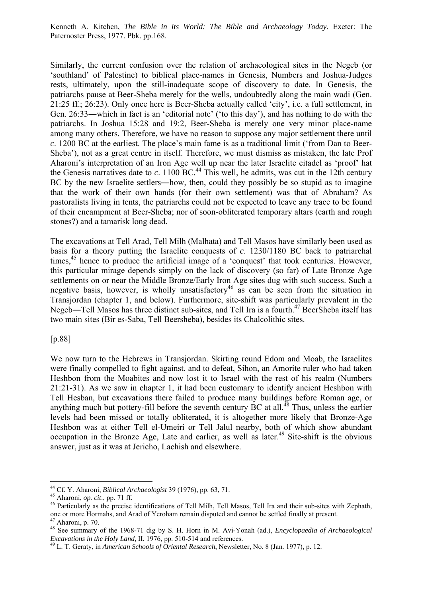Similarly, the current confusion over the relation of archaeological sites in the Negeb (or 'southland' of Palestine) to biblical place-names in Genesis, Numbers and Joshua-Judges rests, ultimately, upon the still-inadequate scope of discovery to date. In Genesis, the patriarchs pause at Beer-Sheba merely for the wells, undoubtedly along the main wadi (Gen. 21:25 ff.; 26:23). Only once here is Beer-Sheba actually called 'city', i.e. a full settlement, in Gen. 26:33―which in fact is an 'editorial note' ('to this day'), and has nothing to do with the patriarchs. In Joshua 15:28 and 19:2, Beer-Sheba is merely one very minor place-name among many others. Therefore, we have no reason to suppose any major settlement there until *c*. 1200 BC at the earliest. The place's main fame is as a traditional limit ('from Dan to Beer-Sheba'), not as a great centre in itself. Therefore, we must dismiss as mistaken, the late Prof Aharoni's interpretation of an Iron Age well up near the later Israelite citadel as 'proof' hat the Genesis narratives date to  $c$ . 1100 BC.<sup>44</sup> This well, he admits, was cut in the 12th century BC by the new Israelite settlers—how, then, could they possibly be so stupid as to imagine that the work of their own hands (for their own settlement) was that of Abraham? As pastoralists living in tents, the patriarchs could not be expected to leave any trace to be found of their encampment at Beer-Sheba; nor of soon-obliterated temporary altars (earth and rough stones?) and a tamarisk long dead.

The excavations at Tell Arad, Tell Milh (Malhata) and Tell Masos have similarly been used as basis for a theory putting the Israelite conquests of *c*. 1230/1180 BC back to patriarchal times,<sup>45</sup> hence to produce the artificial image of a 'conquest' that took centuries. However, this particular mirage depends simply on the lack of discovery (so far) of Late Bronze Age settlements on or near the Middle Bronze/Early Iron Age sites dug with such success. Such a negative basis, however, is wholly unsatisfactory<sup>46</sup> as can be seen from the situation in Transjordan (chapter 1, and below). Furthermore, site-shift was particularly prevalent in the Negeb—Tell Masos has three distinct sub-sites, and Tell Ira is a fourth.<sup>47</sup> BeerSheba itself has two main sites (Bir es-Saba, Tell Beersheba), besides its Chalcolithic sites.

[p.88]

We now turn to the Hebrews in Transjordan. Skirting round Edom and Moab, the Israelites were finally compelled to fight against, and to defeat, Sihon, an Amorite ruler who had taken Heshbon from the Moabites and now lost it to Israel with the rest of his realm (Numbers 21:21-31). As we saw in chapter 1, it had been customary to identify ancient Heshbon with Tell Hesban, but excavations there failed to produce many buildings before Roman age, or anything much but pottery-fill before the seventh century  $\overrightarrow{BC}$  at all.<sup>48</sup> Thus, unless the earlier levels had been missed or totally obliterated, it is altogether more likely that Bronze-Age Heshbon was at either Tell el-Umeiri or Tell Jalul nearby, both of which show abundant occupation in the Bronze Age, Late and earlier, as well as later.<sup>49</sup> Site-shift is the obvious answer, just as it was at Jericho, Lachish and elsewhere.

<sup>&</sup>lt;sup>44</sup> Cf. Y. Aharoni, *Biblical Archaeologist* 39 (1976), pp. 63, 71.

<sup>&</sup>lt;sup>45</sup> Aharoni, *op. cit.*, pp. 71 ff.<br><sup>46</sup> Particularly as the precise identifications of Tell Milh, Tell Masos, Tell Ira and their sub-sites with Zephath, one or more Hormahs, and Arad of Yeroham remain disputed and cannot be settled finally at present.  $47$  Aharoni, p. 70.

<sup>48</sup> See summary of the 1968-71 dig by S. H. Horn in M. Avi-Yonah (ad.), *Encyclopaedia of Archaeological Excavations in the Holy Land*, II, 1976, pp. 510-514 and references.<br><sup>49</sup> L. T. Geraty, in *American Schools of Oriental Research*, Newsletter, No. 8 (Jan. 1977), p. 12.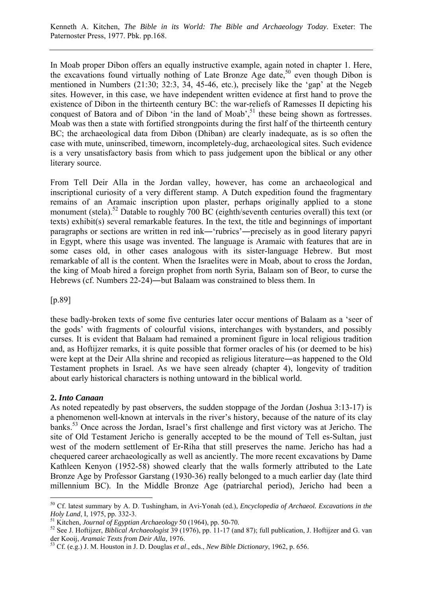In Moab proper Dibon offers an equally instructive example, again noted in chapter 1. Here, the excavations found virtually nothing of Late Bronze Age date,<sup>50</sup> even though Dibon is mentioned in Numbers (21:30; 32:3, 34, 45-46, etc.), precisely like the 'gap' at the Negeb sites. However, in this case, we have independent written evidence at first hand to prove the existence of Dibon in the thirteenth century BC: the war-reliefs of Ramesses II depicting his conquest of Batora and of Dibon 'in the land of Moab',<sup>51</sup> these being shown as fortresses. Moab was then a state with fortified strongpoints during the first half of the thirteenth century BC; the archaeological data from Dibon (Dhiban) are clearly inadequate, as is so often the case with mute, uninscribed, timeworn, incompletely-dug, archaeological sites. Such evidence is a very unsatisfactory basis from which to pass judgement upon the biblical or any other literary source.

From Tell Deir Alla in the Jordan valley, however, has come an archaeological and inscriptional curiosity of a very different stamp. A Dutch expedition found the fragmentary remains of an Aramaic inscription upon plaster, perhaps originally applied to a stone monument (stela).<sup>52</sup> Datable to roughly 700 BC (eighth/seventh centuries overall) this text (or texts) exhibit(s) several remarkable features. In the text, the title and beginnings of important paragraphs or sections are written in red ink―'rubrics'―precisely as in good literary papyri in Egypt, where this usage was invented. The language is Aramaic with features that are in some cases old, in other cases analogous with its sister-language Hebrew. But most remarkable of all is the content. When the Israelites were in Moab, about to cross the Jordan, the king of Moab hired a foreign prophet from north Syria, Balaam son of Beor, to curse the Hebrews (cf. Numbers 22-24)―but Balaam was constrained to bless them. In

[p.89]

these badly-broken texts of some five centuries later occur mentions of Balaam as a 'seer of the gods' with fragments of colourful visions, interchanges with bystanders, and possibly curses. It is evident that Balaam had remained a prominent figure in local religious tradition and, as Hoftijzer remarks, it is quite possible that former oracles of his (or deemed to be his) were kept at the Deir Alla shrine and recopied as religious literature―as happened to the Old Testament prophets in Israel. As we have seen already (chapter 4), longevity of tradition about early historical characters is nothing untoward in the biblical world.

## **2.** *Into Canaan*

 $\overline{a}$ 

As noted repeatedly by past observers, the sudden stoppage of the Jordan (Joshua 3:13-17) is a phenomenon well-known at intervals in the river's history, because of the nature of its clay banks.53 Once across the Jordan, Israel's first challenge and first victory was at Jericho. The site of Old Testament Jericho is generally accepted to be the mound of Tell es-Sultan, just west of the modern settlement of Er-Riha that still preserves the name. Jericho has had a chequered career archaeologically as well as anciently. The more recent excavations by Dame Kathleen Kenyon (1952-58) showed clearly that the walls formerly attributed to the Late Bronze Age by Professor Garstang (1930-36) really belonged to a much earlier day (late third millennium BC). In the Middle Bronze Age (patriarchal period), Jericho had been a

<sup>50</sup> Cf. latest summary by A. D. Tushingham, in Avi-Yonah (ed.), *Encyclopedia of Archaeol. Excavations in the*  Holy Land, I, 1975, pp. 332-3.<br><sup>51</sup> Kitchen, Journal of Egyptian Archaeology 50 (1964), pp. 50-70.<br><sup>52</sup> See J. Hoftijzer, *Biblical Archaeologist* 39 (1976), pp. 11-17 (and 87); full publication, J. Hoftijzer and G. van

der Kooij, *Aramaic Texts from Deir Alla*, 1976.<br><sup>53</sup> Cf. (e.g.) J. M. Houston in J. D. Douglas *et al.*, eds., *New Bible Dictionary*, 1962, p. 656.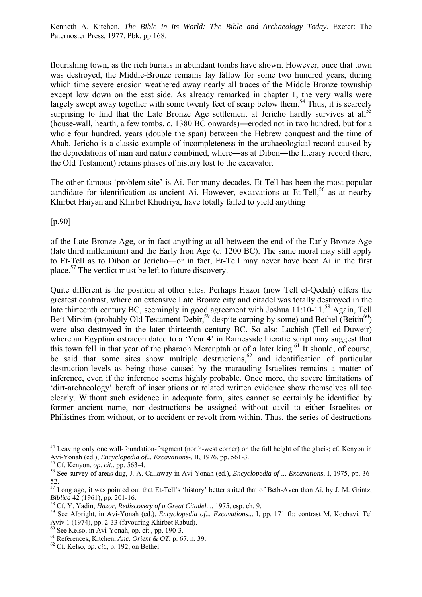flourishing town, as the rich burials in abundant tombs have shown. However, once that town was destroyed, the Middle-Bronze remains lay fallow for some two hundred years, during which time severe erosion weathered away nearly all traces of the Middle Bronze township except low down on the east side. As already remarked in chapter 1, the very walls were largely swept away together with some twenty feet of scarp below them.<sup>54</sup> Thus, it is scarcely surprising to find that the Late Bronze Age settlement at Jericho hardly survives at all<sup>55</sup> (house-wall, hearth, a few tombs, *c*. 1380 BC onwards)―eroded not in two hundred, but for a whole four hundred, years (double the span) between the Hebrew conquest and the time of Ahab. Jericho is a classic example of incompleteness in the archaeological record caused by the depredations of man and nature combined, where―as at Dibon―the literary record (here, the Old Testament) retains phases of history lost to the excavator.

The other famous 'problem-site' is Ai. For many decades, Et-Tell has been the most popular candidate for identification as ancient Ai. However, excavations at Et-Tell,<sup>56</sup> as at nearby Khirbet Haiyan and Khirbet Khudriya, have totally failed to yield anything

[p.90]

of the Late Bronze Age, or in fact anything at all between the end of the Early Bronze Age (late third millennium) and the Early Iron Age (*c*. 1200 BC). The same moral may still apply to Et-Tell as to Dibon or Jericho―or in fact, Et-Tell may never have been Ai in the first place.57 The verdict must be left to future discovery.

Quite different is the position at other sites. Perhaps Hazor (now Tell el-Qedah) offers the greatest contrast, where an extensive Late Bronze city and citadel was totally destroyed in the late thirteenth century BC, seemingly in good agreement with Joshua 11:10-11.<sup>58</sup> Again, Tell Beit Mirsim (probably Old Testament Debir,<sup>59</sup> despite carping by some) and Bethel (Beitin<sup>60</sup>) were also destroyed in the later thirteenth century BC. So also Lachish (Tell ed-Duweir) where an Egyptian ostracon dated to a 'Year 4' in Ramesside hieratic script may suggest that this town fell in that year of the pharaoh Merenptah or of a later king.<sup>61</sup> It should, of course, be said that some sites show multiple destructions,  $62$  and identification of particular destruction-levels as being those caused by the marauding Israelites remains a matter of inference, even if the inference seems highly probable. Once more, the severe limitations of 'dirt-archaeology' bereft of inscriptions or related written evidence show themselves all too clearly. Without such evidence in adequate form, sites cannot so certainly be identified by former ancient name, nor destructions be assigned without cavil to either Israelites or Philistines from without, or to accident or revolt from within. Thus, the series of destructions

<sup>&</sup>lt;sup>54</sup> Leaving only one wall-foundation-fragment (north-west corner) on the full height of the glacis; cf. Kenyon in Avi-Yonah (ed.), *Encyclopedia of... Excavations*-, II, 1976, pp. 561-3.<br><sup>55</sup> Cf. Kenyon, *op. cit.*, pp. 563-4.<br><sup>55</sup> See survey of areas dug, J. A. Callaway in Avi-Yonah (ed.), *Encyclopedia of ... Excavations*, I, 1975,

<sup>52.</sup> 

 $57$  Long ago, it was pointed out that Et-Tell's 'history' better suited that of Beth-Aven than Ai, by J. M. Grintz,

Biblica 42 (1961), pp. 201-16.<br><sup>58</sup> Cf. Y. Yadin, *Hazor, Rediscovery of a Great Citadel...*, 1975, esp. ch. 9.<br><sup>59</sup> See Albright, in Avi-Yonah (ed.), *Encyclopedia of... Excavations...* I, pp. 171 fl:; contrast M. Kochavi Aviv 1 (1974), pp. 2-33 (favouring Khirbet Rabud).

<sup>60</sup> See Kelso, in Avi-Yonah, op. cit., pp. 190-3.

<sup>61</sup> References, Kitchen, *Anc. Orient & OT*, p. 67, n. 39. 62 Cf. Kelso, *op. cit*., p. 192, on Bethel.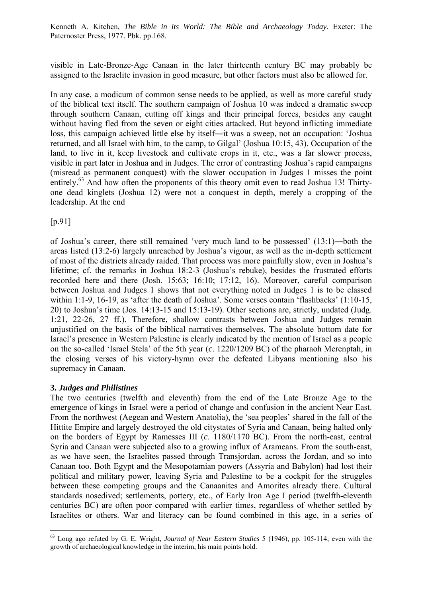visible in Late-Bronze-Age Canaan in the later thirteenth century BC may probably be assigned to the Israelite invasion in good measure, but other factors must also be allowed for.

In any case, a modicum of common sense needs to be applied, as well as more careful study of the biblical text itself. The southern campaign of Joshua 10 was indeed a dramatic sweep through southern Canaan, cutting off kings and their principal forces, besides any caught without having fled from the seven or eight cities attacked. But beyond inflicting immediate loss, this campaign achieved little else by itself―it was a sweep, not an occupation: 'Joshua returned, and all Israel with him, to the camp, to Gilgal' (Joshua 10:15, 43). Occupation of the land, to live in it, keep livestock and cultivate crops in it, etc., was a far slower process, visible in part later in Joshua and in Judges. The error of contrasting Joshua's rapid campaigns (misread as permanent conquest) with the slower occupation in Judges 1 misses the point entirely.<sup>63</sup> And how often the proponents of this theory omit even to read Joshua 13! Thirtyone dead kinglets (Joshua 12) were not a conquest in depth, merely a cropping of the leadership. At the end

[p.91]

 $\overline{a}$ 

of Joshua's career, there still remained 'very much land to be possessed' (13:1)―both the areas listed (13:2-6) largely unreached by Joshua's vigour, as well as the in-depth settlement of most of the districts already raided. That process was more painfully slow, even in Joshua's lifetime; cf. the remarks in Joshua 18:2-3 (Joshua's rebuke), besides the frustrated efforts recorded here and there (Josh. 15:63; 16:10; 17:12, 16). Moreover, careful comparison between Joshua and Judges 1 shows that not everything noted in Judges 1 is to be classed within 1:1-9, 16-19, as 'after the death of Joshua'. Some verses contain 'flashbacks' (1:10-15, 20) to Joshua's time (Jos. 14:13-15 and 15:13-19). Other sections are, strictly, undated (Judg. 1:21, 22-26, 27 ff.). Therefore, shallow contrasts between Joshua and Judges remain unjustified on the basis of the biblical narratives themselves. The absolute bottom date for Israel's presence in Western Palestine is clearly indicated by the mention of Israel as a people on the so-called 'Israel Stela' of the 5th year (*c*. 1220/1209 BC) of the pharaoh Merenptah, in the closing verses of his victory-hymn over the defeated Libyans mentioning also his supremacy in Canaan.

## **3.** *Judges and Philistines*

The two centuries (twelfth and eleventh) from the end of the Late Bronze Age to the emergence of kings in Israel were a period of change and confusion in the ancient Near East. From the northwest (Aegean and Western Anatolia), the 'sea peoples' shared in the fall of the Hittite Empire and largely destroyed the old citystates of Syria and Canaan, being halted only on the borders of Egypt by Ramesses III (*c*. 1180/1170 BC). From the north-east, central Syria and Canaan were subjected also to a growing influx of Arameans. From the south-east, as we have seen, the Israelites passed through Transjordan, across the Jordan, and so into Canaan too. Both Egypt and the Mesopotamian powers (Assyria and Babylon) had lost their political and military power, leaving Syria and Palestine to be a cockpit for the struggles between these competing groups and the Canaanites and Amorites already there. Cultural standards nosedived; settlements, pottery, etc., of Early Iron Age I period (twelfth-eleventh centuries BC) are often poor compared with earlier times, regardless of whether settled by Israelites or others. War and literacy can be found combined in this age, in a series of

<sup>63</sup> Long ago refuted by G. E. Wright, *Journal of Near Eastern Studies* 5 (1946), pp. 105-114; even with the growth of archaeological knowledge in the interim, his main points hold.